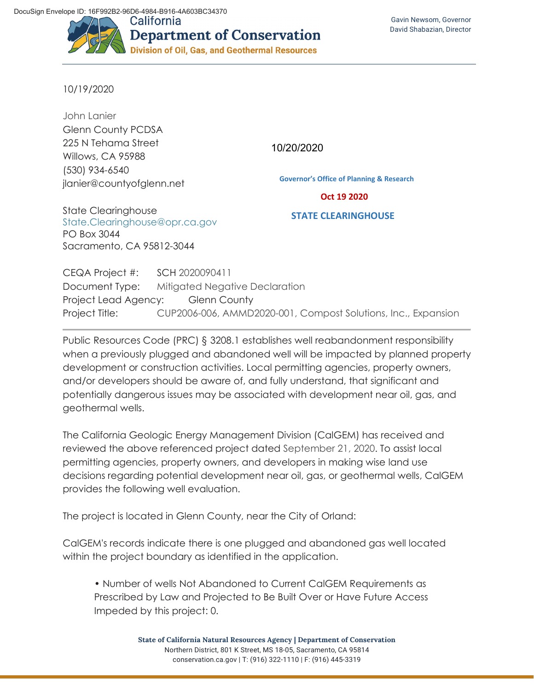

10/19/2020

John Lanier Glenn County PCDSA 225 N Tehama Street Willows, CA 95988 (530) 934-6540 jlanier@countyofglenn.net

10/20/2020

**Governor's Office of Planning & Research**

## **Oct 19 2020**

State Clearinghouse State.Clearinghouse@opr.ca.gov PO Box 3044 Sacramento, CA 95812-3044

**STATE CLEARINGHOUSE**

CEQA Project #: SCH 2020090411 Document Type: Mitigated Negative Declaration Project Lead Agency: Glenn County Project Title: CUP2006-006, AMMD2020-001, Compost Solutions, Inc., Expansion

Public Resources Code (PRC) § 3208.1 establishes well reabandonment responsibility when a previously plugged and abandoned well will be impacted by planned property development or construction activities. Local permitting agencies, property owners, and/or developers should be aware of, and fully understand, that significant and potentially dangerous issues may be associated with development near oil, gas, and geothermal wells.

The California Geologic Energy Management Division (CalGEM) has received and reviewed the above referenced project dated September 21, 2020. To assist local permitting agencies, property owners, and developers in making wise land use decisions regarding potential development near oil, gas, or geothermal wells, CalGEM provides the following well evaluation.

The project is located in Glenn County, near the City of Orland:

CalGEM's records indicate there is one plugged and abandoned gas well located within the project boundary as identified in the application.

• Number of wells Not Abandoned to Current CalGEM Requirements as Prescribed by Law and Projected to Be Built Over or Have Future Access Impeded by this project: 0.

> **State of California Natural Resources Agency | Department of Conservation**  Northern District, 801 K Street, MS 18-05, Sacramento, CA 95814 conservation.ca.gov | T: (916) 322-1110 | F: (916) 445-3319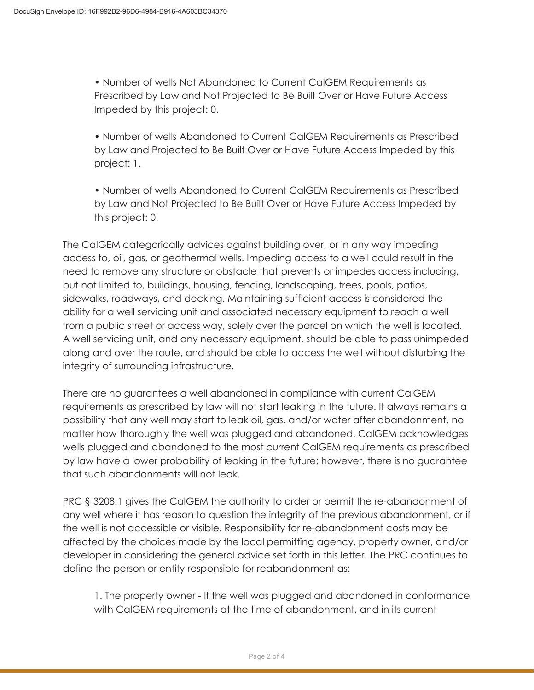• Number of wells Not Abandoned to Current CalGEM Requirements as Prescribed by Law and Not Projected to Be Built Over or Have Future Access Impeded by this project: 0.

• Number of wells Abandoned to Current CalGEM Requirements as Prescribed by Law and Projected to Be Built Over or Have Future Access Impeded by this project: 1.

• Number of wells Abandoned to Current CalGEM Requirements as Prescribed by Law and Not Projected to Be Built Over or Have Future Access Impeded by this project: 0.

The CalGEM categorically advices against building over, or in any way impeding access to, oil, gas, or geothermal wells. Impeding access to a well could result in the need to remove any structure or obstacle that prevents or impedes access including, but not limited to, buildings, housing, fencing, landscaping, trees, pools, patios, sidewalks, roadways, and decking. Maintaining sufficient access is considered the ability for a well servicing unit and associated necessary equipment to reach a well from a public street or access way, solely over the parcel on which the well is located. A well servicing unit, and any necessary equipment, should be able to pass unimpeded along and over the route, and should be able to access the well without disturbing the integrity of surrounding infrastructure.

There are no guarantees a well abandoned in compliance with current CalGEM requirements as prescribed by law will not start leaking in the future. It always remains a possibility that any well may start to leak oil, gas, and/or water after abandonment, no matter how thoroughly the well was plugged and abandoned. CalGEM acknowledges wells plugged and abandoned to the most current CalGEM requirements as prescribed by law have a lower probability of leaking in the future; however, there is no guarantee that such abandonments will not leak.

PRC § 3208.1 gives the CalGEM the authority to order or permit the re-abandonment of any well where it has reason to question the integrity of the previous abandonment, or if the well is not accessible or visible. Responsibility for re-abandonment costs may be affected by the choices made by the local permitting agency, property owner, and/or developer in considering the general advice set forth in this letter. The PRC continues to define the person or entity responsible for reabandonment as:

1. The property owner - If the well was plugged and abandoned in conformance with CalGEM requirements at the time of abandonment, and in its current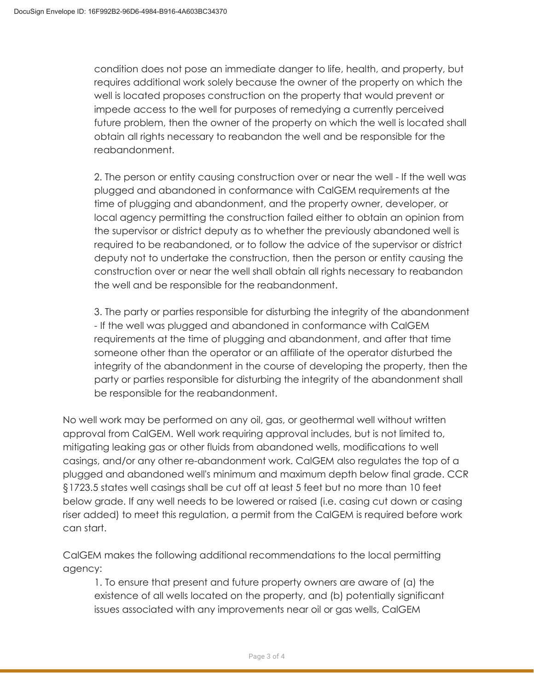condition does not pose an immediate danger to life, health, and property, but requires additional work solely because the owner of the property on which the well is located proposes construction on the property that would prevent or impede access to the well for purposes of remedying a currently perceived future problem, then the owner of the property on which the well is located shall obtain all rights necessary to reabandon the well and be responsible for the reabandonment.

2. The person or entity causing construction over or near the well - If the well was plugged and abandoned in conformance with CalGEM requirements at the time of plugging and abandonment, and the property owner, developer, or local agency permitting the construction failed either to obtain an opinion from the supervisor or district deputy as to whether the previously abandoned well is required to be reabandoned, or to follow the advice of the supervisor or district deputy not to undertake the construction, then the person or entity causing the construction over or near the well shall obtain all rights necessary to reabandon the well and be responsible for the reabandonment.

3. The party or parties responsible for disturbing the integrity of the abandonment - If the well was plugged and abandoned in conformance with CalGEM requirements at the time of plugging and abandonment, and after that time someone other than the operator or an affiliate of the operator disturbed the integrity of the abandonment in the course of developing the property, then the party or parties responsible for disturbing the integrity of the abandonment shall be responsible for the reabandonment.

No well work may be performed on any oil, gas, or geothermal well without written approval from CalGEM. Well work requiring approval includes, but is not limited to, mitigating leaking gas or other fluids from abandoned wells, modifications to well casings, and/or any other re-abandonment work. CalGEM also regulates the top of a plugged and abandoned well's minimum and maximum depth below final grade. CCR §1723.5 states well casings shall be cut off at least 5 feet but no more than 10 feet below grade. If any well needs to be lowered or raised (i.e. casing cut down or casing riser added) to meet this regulation, a permit from the CalGEM is required before work can start.

CalGEM makes the following additional recommendations to the local permitting agency:

1. To ensure that present and future property owners are aware of (a) the existence of all wells located on the property, and (b) potentially significant issues associated with any improvements near oil or gas wells, CalGEM